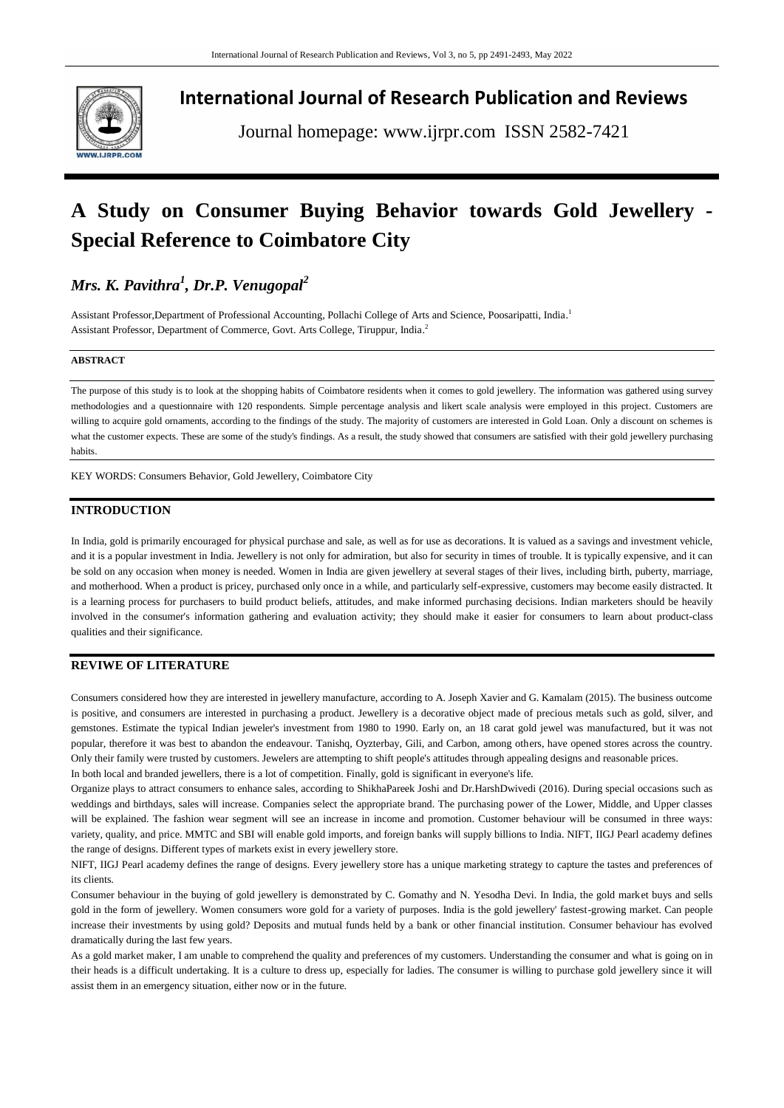

**International Journal of Research Publication and Reviews**

Journal homepage: www.ijrpr.com ISSN 2582-7421

# **A Study on Consumer Buying Behavior towards Gold Jewellery - Special Reference to Coimbatore City**

# *Mrs. K. Pavithra<sup>1</sup> , Dr.P. Venugopal<sup>2</sup>*

Assistant Professor,Department of Professional Accounting, Pollachi College of Arts and Science, Poosaripatti, India. 1 Assistant Professor, Department of Commerce, Govt. Arts College, Tiruppur, India. 2

#### **ABSTRACT**

The purpose of this study is to look at the shopping habits of Coimbatore residents when it comes to gold jewellery. The information was gathered using survey methodologies and a questionnaire with 120 respondents. Simple percentage analysis and likert scale analysis were employed in this project. Customers are willing to acquire gold ornaments, according to the findings of the study. The majority of customers are interested in Gold Loan. Only a discount on schemes is what the customer expects. These are some of the study's findings. As a result, the study showed that consumers are satisfied with their gold jewellery purchasing habits.

KEY WORDS: Consumers Behavior, Gold Jewellery, Coimbatore City

# **INTRODUCTION**

In India, gold is primarily encouraged for physical purchase and sale, as well as for use as decorations. It is valued as a savings and investment vehicle, and it is a popular investment in India. Jewellery is not only for admiration, but also for security in times of trouble. It is typically expensive, and it can be sold on any occasion when money is needed. Women in India are given jewellery at several stages of their lives, including birth, puberty, marriage, and motherhood. When a product is pricey, purchased only once in a while, and particularly self-expressive, customers may become easily distracted. It is a learning process for purchasers to build product beliefs, attitudes, and make informed purchasing decisions. Indian marketers should be heavily involved in the consumer's information gathering and evaluation activity; they should make it easier for consumers to learn about product-class qualities and their significance.

### **REVIWE OF LITERATURE**

Consumers considered how they are interested in jewellery manufacture, according to A. Joseph Xavier and G. Kamalam (2015). The business outcome is positive, and consumers are interested in purchasing a product. Jewellery is a decorative object made of precious metals such as gold, silver, and gemstones. Estimate the typical Indian jeweler's investment from 1980 to 1990. Early on, an 18 carat gold jewel was manufactured, but it was not popular, therefore it was best to abandon the endeavour. Tanishq, Oyzterbay, Gili, and Carbon, among others, have opened stores across the country. Only their family were trusted by customers. Jewelers are attempting to shift people's attitudes through appealing designs and reasonable prices. In both local and branded jewellers, there is a lot of competition. Finally, gold is significant in everyone's life.

Organize plays to attract consumers to enhance sales, according to ShikhaPareek Joshi and Dr.HarshDwivedi (2016). During special occasions such as weddings and birthdays, sales will increase. Companies select the appropriate brand. The purchasing power of the Lower, Middle, and Upper classes will be explained. The fashion wear segment will see an increase in income and promotion. Customer behaviour will be consumed in three ways: variety, quality, and price. MMTC and SBI will enable gold imports, and foreign banks will supply billions to India. NIFT, IIGJ Pearl academy defines the range of designs. Different types of markets exist in every jewellery store.

NIFT, IIGJ Pearl academy defines the range of designs. Every jewellery store has a unique marketing strategy to capture the tastes and preferences of its clients.

Consumer behaviour in the buying of gold jewellery is demonstrated by C. Gomathy and N. Yesodha Devi. In India, the gold market buys and sells gold in the form of jewellery. Women consumers wore gold for a variety of purposes. India is the gold jewellery' fastest-growing market. Can people increase their investments by using gold? Deposits and mutual funds held by a bank or other financial institution. Consumer behaviour has evolved dramatically during the last few years.

As a gold market maker, I am unable to comprehend the quality and preferences of my customers. Understanding the consumer and what is going on in their heads is a difficult undertaking. It is a culture to dress up, especially for ladies. The consumer is willing to purchase gold jewellery since it will assist them in an emergency situation, either now or in the future.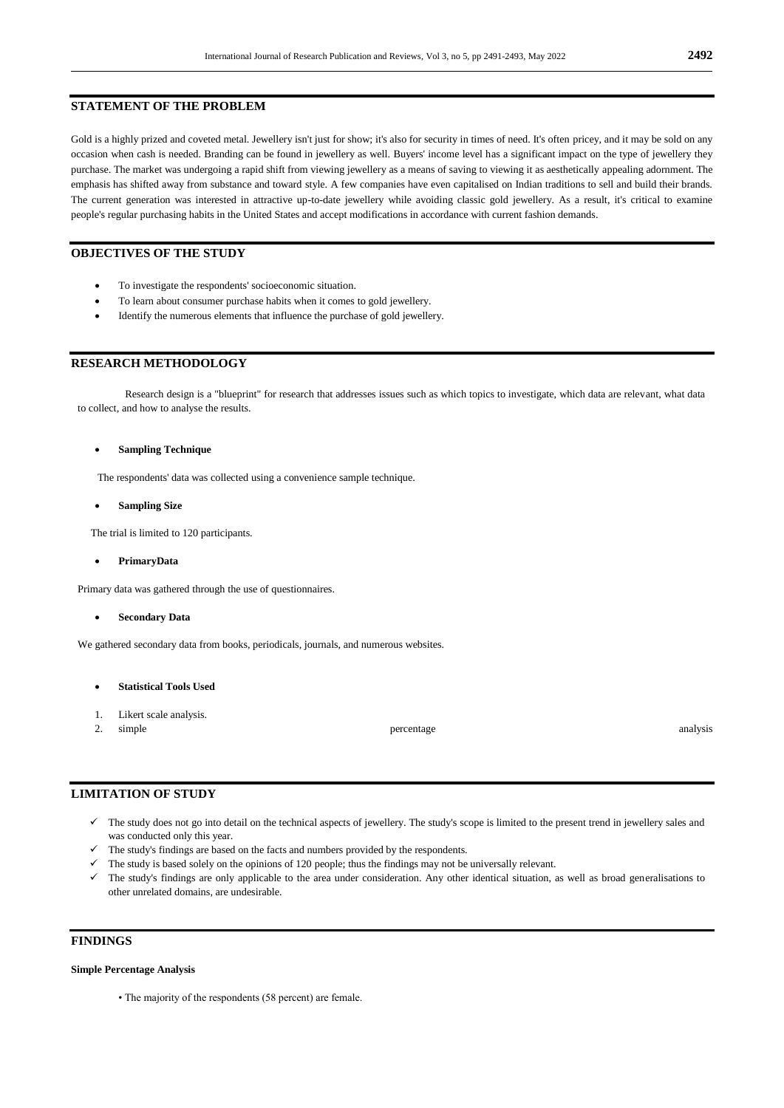#### **STATEMENT OF THE PROBLEM**

Gold is a highly prized and coveted metal. Jewellery isn't just for show; it's also for security in times of need. It's often pricey, and it may be sold on any occasion when cash is needed. Branding can be found in jewellery as well. Buyers' income level has a significant impact on the type of jewellery they purchase. The market was undergoing a rapid shift from viewing jewellery as a means of saving to viewing it as aesthetically appealing adornment. The emphasis has shifted away from substance and toward style. A few companies have even capitalised on Indian traditions to sell and build their brands. The current generation was interested in attractive up-to-date jewellery while avoiding classic gold jewellery. As a result, it's critical to examine people's regular purchasing habits in the United States and accept modifications in accordance with current fashion demands.

# **OBJECTIVES OF THE STUDY**

- To investigate the respondents' socioeconomic situation.
- To learn about consumer purchase habits when it comes to gold jewellery.
- Identify the numerous elements that influence the purchase of gold jewellery.

# **RESEARCH METHODOLOGY**

Research design is a "blueprint" for research that addresses issues such as which topics to investigate, which data are relevant, what data to collect, and how to analyse the results.

#### **Sampling Technique**

The respondents' data was collected using a convenience sample technique.

**Sampling Size**

The trial is limited to 120 participants.

**PrimaryData**

Primary data was gathered through the use of questionnaires.

**Secondary Data**

We gathered secondary data from books, periodicals, journals, and numerous websites.

- **Statistical Tools Used**
- 1. Likert scale analysis.
- 

2. simple analysis and percentage percentage analysis analysis analysis analysis analysis analysis analysis analysis

#### **LIMITATION OF STUDY**

- $\checkmark$  The study does not go into detail on the technical aspects of jewellery. The study's scope is limited to the present trend in jewellery sales and was conducted only this year.
- The study's findings are based on the facts and numbers provided by the respondents.
- The study is based solely on the opinions of 120 people; thus the findings may not be universally relevant.
- The study's findings are only applicable to the area under consideration. Any other identical situation, as well as broad generalisations to other unrelated domains, are undesirable.

# **FINDINGS**

#### **Simple Percentage Analysis**

• The majority of the respondents (58 percent) are female.